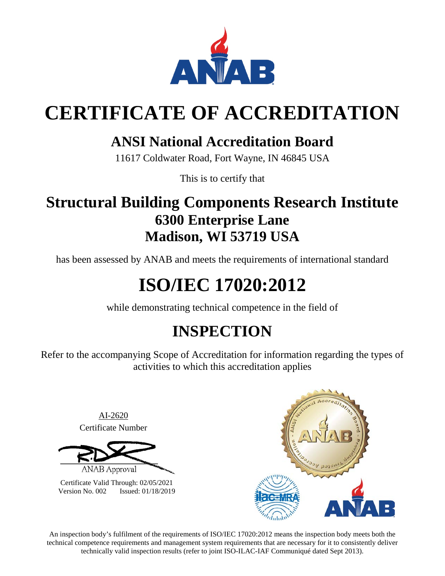

# **CERTIFICATE OF ACCREDITATION**

### **ANSI National Accreditation Board**

11617 Coldwater Road, Fort Wayne, IN 46845 USA

This is to certify that

## **Structural Building Components Research Institute 6300 Enterprise Lane Madison, WI 53719 USA**

has been assessed by ANAB and meets the requirements of international standard

# **ISO/IEC 17020:2012**

while demonstrating technical competence in the field of

## **INSPECTION**

Refer to the accompanying Scope of Accreditation for information regarding the types of activities to which this accreditation applies

> AI-2620 Certificate Number

**ANAB Approval** 

Certificate Valid Through: 02/05/2021 Version No. 002 Issued: 01/18/2019



An inspection body's fulfilment of the requirements of ISO/IEC 17020:2012 means the inspection body meets both the technical competence requirements and management system requirements that are necessary for it to consistently deliver technically valid inspection results (refer to joint ISO-ILAC-IAF Communiqué dated Sept 2013).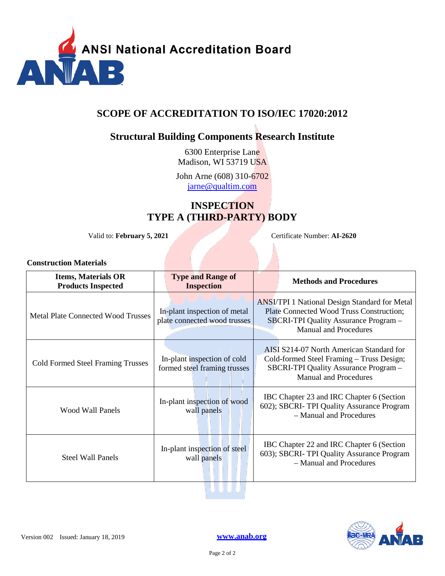

### **SCOPE OF ACCREDITATION TO ISO/IEC 17020:2012**

### **Structural Building Components Research Institute**

6300 Enterprise Lane Madison, WI 53719 USA

John Arne (608) 310-6702 [jarne@qualtim.com](mailto:jarne@qualtim.com)

### **INSPECTION TYPE A (THIRD-PARTY) BODY**

Valid to: **February 5, 2021** Certificate Number: **AI-2620**

#### **Construction Materials**

| <b>Items, Materials OR</b><br><b>Products Inspected</b> | <b>Type and Range of</b><br><b>Inspection</b>                | <b>Methods and Procedures</b>                                                                                                                                             |
|---------------------------------------------------------|--------------------------------------------------------------|---------------------------------------------------------------------------------------------------------------------------------------------------------------------------|
| <b>Metal Plate Connected Wood Trusses</b>               | In-plant inspection of metal<br>plate connected wood trusses | <b>ANSI/TPI 1 National Design Standard for Metal</b><br>Plate Connected Wood Truss Construction;<br>SBCRI-TPI Quality Assurance Program -<br><b>Manual and Procedures</b> |
| <b>Cold Formed Steel Framing Trusses</b>                | In-plant inspection of cold<br>formed steel framing trusses  | AISI S214-07 North American Standard for<br>Cold-formed Steel Framing - Truss Design;<br><b>SBCRI-TPI Quality Assurance Program -</b><br><b>Manual and Procedures</b>     |
| Wood Wall Panels                                        | In-plant inspection of wood<br>wall panels                   | IBC Chapter 23 and IRC Chapter 6 (Section<br>602); SBCRI-TPI Quality Assurance Program<br>- Manual and Procedures                                                         |
| <b>Steel Wall Panels</b>                                | In-plant inspection of steel<br>wall panels                  | IBC Chapter 22 and IRC Chapter 6 (Section<br>603); SBCRI-TPI Quality Assurance Program<br>- Manual and Procedures                                                         |
|                                                         |                                                              |                                                                                                                                                                           |



Version 002 Issued: January 18, 2019 **[www.anab.org](http://anab.org/)**